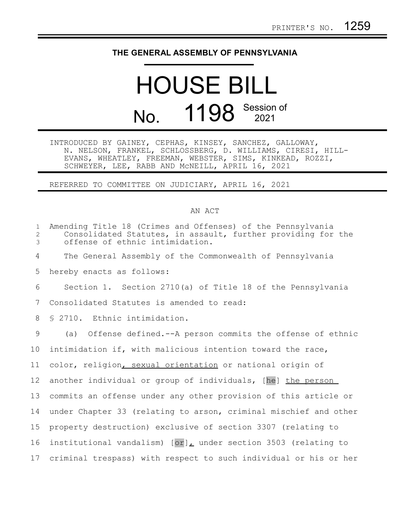## **THE GENERAL ASSEMBLY OF PENNSYLVANIA**

## HOUSE BILL No. 1198 Session of

INTRODUCED BY GAINEY, CEPHAS, KINSEY, SANCHEZ, GALLOWAY, N. NELSON, FRANKEL, SCHLOSSBERG, D. WILLIAMS, CIRESI, HILL-EVANS, WHEATLEY, FREEMAN, WEBSTER, SIMS, KINKEAD, ROZZI, SCHWEYER, LEE, RABB AND McNEILL, APRIL 16, 2021

REFERRED TO COMMITTEE ON JUDICIARY, APRIL 16, 2021

## AN ACT

| $\mathbf{1}$<br>$\mathbf{2}$<br>$\mathfrak{Z}$ | Amending Title 18 (Crimes and Offenses) of the Pennsylvania<br>Consolidated Statutes, in assault, further providing for the<br>offense of ethnic intimidation. |
|------------------------------------------------|----------------------------------------------------------------------------------------------------------------------------------------------------------------|
| 4                                              | The General Assembly of the Commonwealth of Pennsylvania                                                                                                       |
| 5                                              | hereby enacts as follows:                                                                                                                                      |
| 6                                              | Section 1. Section 2710(a) of Title 18 of the Pennsylvania                                                                                                     |
| 7                                              | Consolidated Statutes is amended to read:                                                                                                                      |
| 8                                              | \$ 2710. Ethnic intimidation.                                                                                                                                  |
| 9                                              | (a) Offense defined.--A person commits the offense of ethnic                                                                                                   |
| 10                                             | intimidation if, with malicious intention toward the race,                                                                                                     |
| 11                                             | color, religion, sexual orientation or national origin of                                                                                                      |
| 12 <sup>°</sup>                                | another individual or group of individuals, [he] the person                                                                                                    |
| 13                                             | commits an offense under any other provision of this article or                                                                                                |
| 14                                             | under Chapter 33 (relating to arson, criminal mischief and other                                                                                               |
| 15                                             | property destruction) exclusive of section 3307 (relating to                                                                                                   |
| 16                                             | institutional vandalism) $[or]_L$ under section 3503 (relating to                                                                                              |
| 17                                             | criminal trespass) with respect to such individual or his or her                                                                                               |